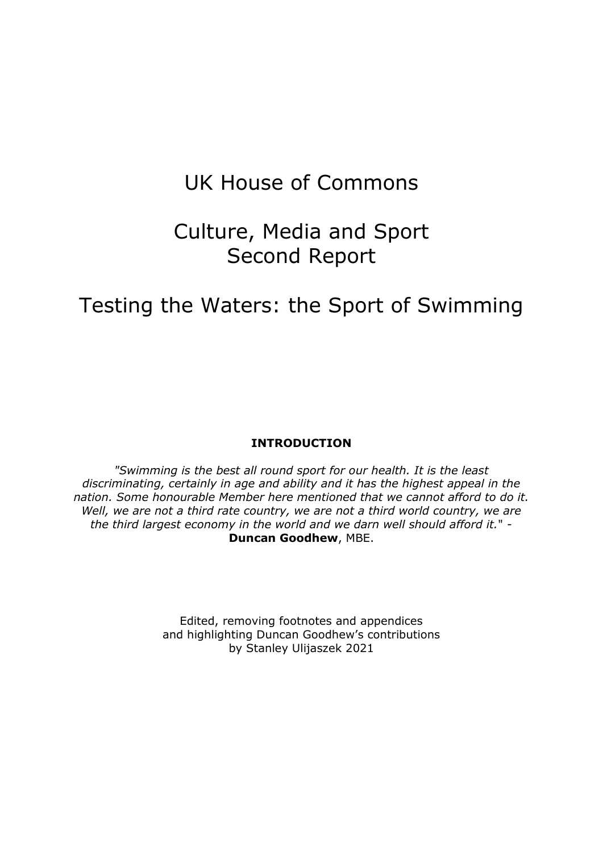# UK House of Commons

# Culture, Media and Sport Second Report

# Testing the Waters: the Sport of Swimming

#### **INTRODUCTION**

*"Swimming is the best all round sport for our health. It is the least discriminating, certainly in age and ability and it has the highest appeal in the nation. Some honourable Member here mentioned that we cannot afford to do it.*  Well, we are not a third rate country, we are not a third world country, we are *the third largest economy in the world and we darn well should afford it.*" - **Duncan Goodhew**, MBE.

> Edited, removing footnotes and appendices and highlighting Duncan Goodhew's contributions by Stanley Ulijaszek 2021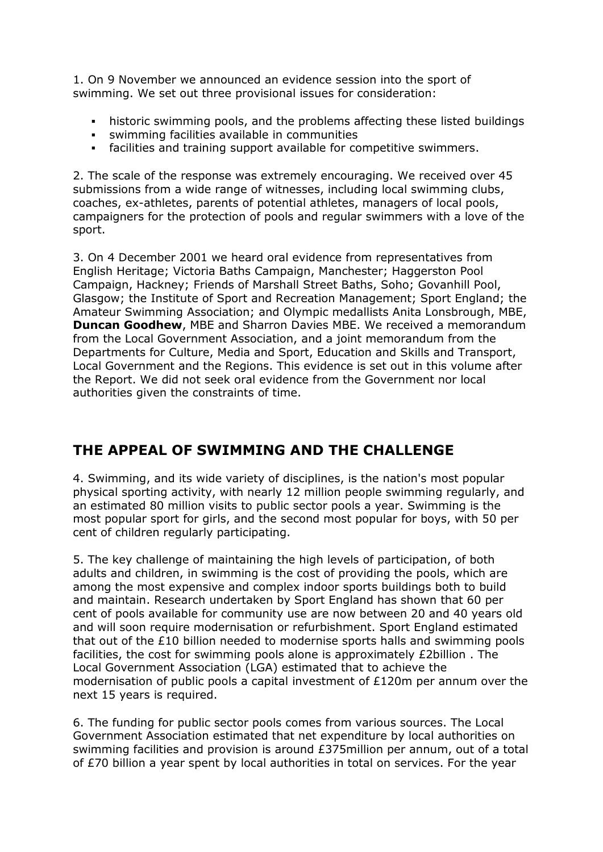1. On 9 November we announced an evidence session into the sport of swimming. We set out three provisional issues for consideration:

- historic swimming pools, and the problems affecting these listed buildings
- swimming facilities available in communities
- facilities and training support available for competitive swimmers.

2. The scale of the response was extremely encouraging. We received over 45 submissions from a wide range of witnesses, including local swimming clubs, coaches, ex-athletes, parents of potential athletes, managers of local pools, campaigners for the protection of pools and regular swimmers with a love of the sport.

3. On 4 December 2001 we heard oral evidence from representatives from English Heritage; Victoria Baths Campaign, Manchester; Haggerston Pool Campaign, Hackney; Friends of Marshall Street Baths, Soho; Govanhill Pool, Glasgow; the Institute of Sport and Recreation Management; Sport England; the Amateur Swimming Association; and Olympic medallists Anita Lonsbrough, MBE, **Duncan Goodhew**, MBE and Sharron Davies MBE. We received a memorandum from the Local Government Association, and a joint memorandum from the Departments for Culture, Media and Sport, Education and Skills and Transport, Local Government and the Regions. This evidence is set out in this volume after the Report. We did not seek oral evidence from the Government nor local authorities given the constraints of time.

# **THE APPEAL OF SWIMMING AND THE CHALLENGE**

4. Swimming, and its wide variety of disciplines, is the nation's most popular physical sporting activity, with nearly 12 million people swimming regularly, and an estimated 80 million visits to public sector pools a year. Swimming is the most popular sport for girls, and the second most popular for boys, with 50 per cent of children regularly participating.

5. The key challenge of maintaining the high levels of participation, of both adults and children, in swimming is the cost of providing the pools, which are among the most expensive and complex indoor sports buildings both to build and maintain. Research undertaken by Sport England has shown that 60 per cent of pools available for community use are now between 20 and 40 years old and will soon require modernisation or refurbishment. Sport England estimated that out of the £10 billion needed to modernise sports halls and swimming pools facilities, the cost for swimming pools alone is approximately £2billion . The Local Government Association (LGA) estimated that to achieve the modernisation of public pools a capital investment of £120m per annum over the next 15 years is required.

6. The funding for public sector pools comes from various sources. The Local Government Association estimated that net expenditure by local authorities on swimming facilities and provision is around £375million per annum, out of a total of £70 billion a year spent by local authorities in total on services. For the year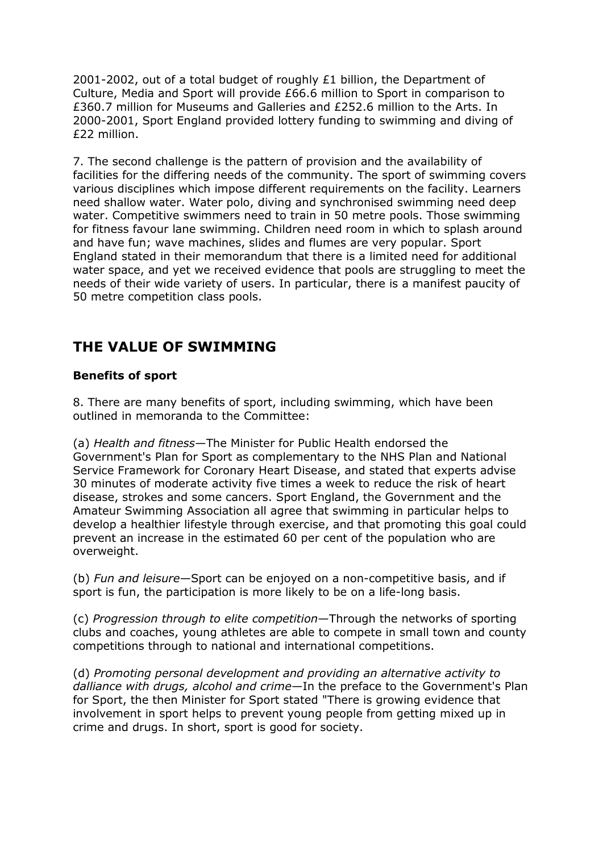2001-2002, out of a total budget of roughly  $£1$  billion, the Department of Culture, Media and Sport will provide £66.6 million to Sport in comparison to £360.7 million for Museums and Galleries and £252.6 million to the Arts. In 2000-2001, Sport England provided lottery funding to swimming and diving of £22 million.

7. The second challenge is the pattern of provision and the availability of facilities for the differing needs of the community. The sport of swimming covers various disciplines which impose different requirements on the facility. Learners need shallow water. Water polo, diving and synchronised swimming need deep water. Competitive swimmers need to train in 50 metre pools. Those swimming for fitness favour lane swimming. Children need room in which to splash around and have fun; wave machines, slides and flumes are very popular. Sport England stated in their memorandum that there is a limited need for additional water space, and yet we received evidence that pools are struggling to meet the needs of their wide variety of users. In particular, there is a manifest paucity of 50 metre competition class pools.

## **THE VALUE OF SWIMMING**

### **Benefits of sport**

8. There are many benefits of sport, including swimming, which have been outlined in memoranda to the Committee:

(a) *Health and fitness*—The Minister for Public Health endorsed the Government's Plan for Sport as complementary to the NHS Plan and National Service Framework for Coronary Heart Disease, and stated that experts advise 30 minutes of moderate activity five times a week to reduce the risk of heart disease, strokes and some cancers. Sport England, the Government and the Amateur Swimming Association all agree that swimming in particular helps to develop a healthier lifestyle through exercise, and that promoting this goal could prevent an increase in the estimated 60 per cent of the population who are overweight.

(b) *Fun and leisure*—Sport can be enjoyed on a non-competitive basis, and if sport is fun, the participation is more likely to be on a life-long basis.

(c) *Progression through to elite competition*—Through the networks of sporting clubs and coaches, young athletes are able to compete in small town and county competitions through to national and international competitions.

(d) *Promoting personal development and providing an alternative activity to dalliance with drugs, alcohol and crime*—In the preface to the Government's Plan for Sport, the then Minister for Sport stated "There is growing evidence that involvement in sport helps to prevent young people from getting mixed up in crime and drugs. In short, sport is good for society.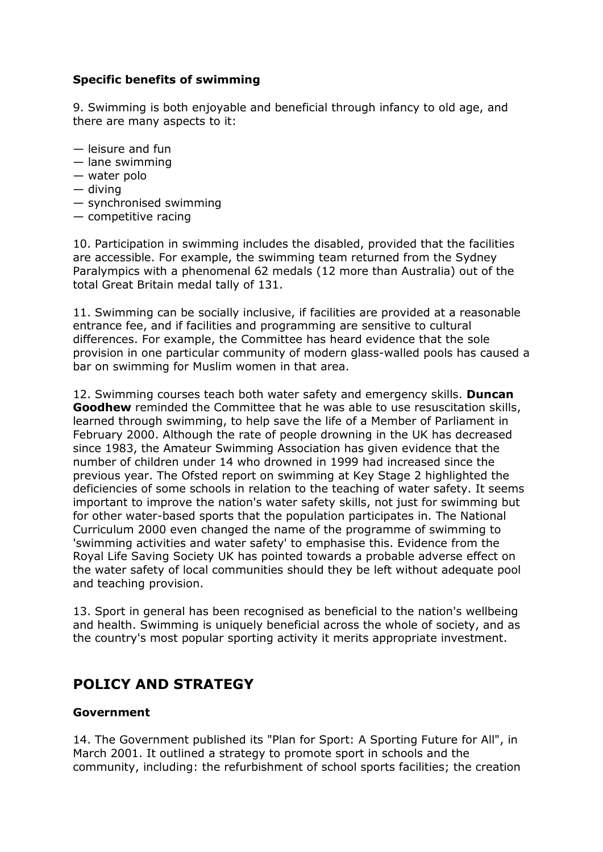### **Specific benefits of swimming**

9. Swimming is both enjoyable and beneficial through infancy to old age, and there are many aspects to it:

- leisure and fun
- lane swimming
- water polo
- diving
- synchronised swimming
- competitive racing

10. Participation in swimming includes the disabled, provided that the facilities are accessible. For example, the swimming team returned from the Sydney Paralympics with a phenomenal 62 medals (12 more than Australia) out of the total Great Britain medal tally of 131.

11. Swimming can be socially inclusive, if facilities are provided at a reasonable entrance fee, and if facilities and programming are sensitive to cultural differences. For example, the Committee has heard evidence that the sole provision in one particular community of modern glass-walled pools has caused a bar on swimming for Muslim women in that area.

12. Swimming courses teach both water safety and emergency skills. **Duncan Goodhew** reminded the Committee that he was able to use resuscitation skills, learned through swimming, to help save the life of a Member of Parliament in February 2000. Although the rate of people drowning in the UK has decreased since 1983, the Amateur Swimming Association has given evidence that the number of children under 14 who drowned in 1999 had increased since the previous year. The Ofsted report on swimming at Key Stage 2 highlighted the deficiencies of some schools in relation to the teaching of water safety. It seems important to improve the nation's water safety skills, not just for swimming but for other water-based sports that the population participates in. The National Curriculum 2000 even changed the name of the programme of swimming to 'swimming activities and water safety' to emphasise this. Evidence from the Royal Life Saving Society UK has pointed towards a probable adverse effect on the water safety of local communities should they be left without adequate pool and teaching provision.

13. Sport in general has been recognised as beneficial to the nation's wellbeing and health. Swimming is uniquely beneficial across the whole of society, and as the country's most popular sporting activity it merits appropriate investment.

### **POLICY AND STRATEGY**

#### **Government**

14. The Government published its "Plan for Sport: A Sporting Future for All", in March 2001. It outlined a strategy to promote sport in schools and the community, including: the refurbishment of school sports facilities; the creation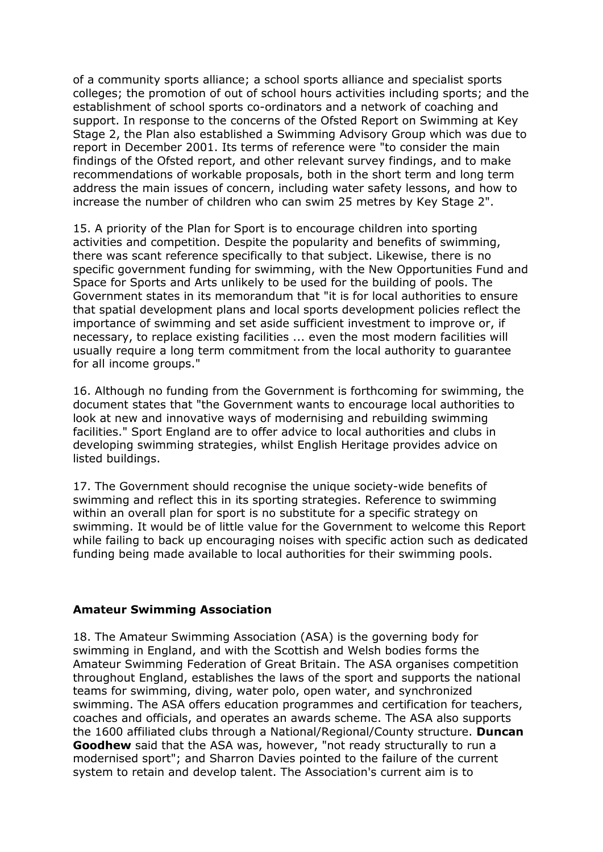of a community sports alliance; a school sports alliance and specialist sports colleges; the promotion of out of school hours activities including sports; and the establishment of school sports co-ordinators and a network of coaching and support. In response to the concerns of the Ofsted Report on Swimming at Key Stage 2, the Plan also established a Swimming Advisory Group which was due to report in December 2001. Its terms of reference were "to consider the main findings of the Ofsted report, and other relevant survey findings, and to make recommendations of workable proposals, both in the short term and long term address the main issues of concern, including water safety lessons, and how to increase the number of children who can swim 25 metres by Key Stage 2".

15. A priority of the Plan for Sport is to encourage children into sporting activities and competition. Despite the popularity and benefits of swimming, there was scant reference specifically to that subject. Likewise, there is no specific government funding for swimming, with the New Opportunities Fund and Space for Sports and Arts unlikely to be used for the building of pools. The Government states in its memorandum that "it is for local authorities to ensure that spatial development plans and local sports development policies reflect the importance of swimming and set aside sufficient investment to improve or, if necessary, to replace existing facilities ... even the most modern facilities will usually require a long term commitment from the local authority to guarantee for all income groups."

16. Although no funding from the Government is forthcoming for swimming, the document states that "the Government wants to encourage local authorities to look at new and innovative ways of modernising and rebuilding swimming facilities." Sport England are to offer advice to local authorities and clubs in developing swimming strategies, whilst English Heritage provides advice on listed buildings.

17. The Government should recognise the unique society-wide benefits of swimming and reflect this in its sporting strategies. Reference to swimming within an overall plan for sport is no substitute for a specific strategy on swimming. It would be of little value for the Government to welcome this Report while failing to back up encouraging noises with specific action such as dedicated funding being made available to local authorities for their swimming pools.

#### **Amateur Swimming Association**

18. The Amateur Swimming Association (ASA) is the governing body for swimming in England, and with the Scottish and Welsh bodies forms the Amateur Swimming Federation of Great Britain. The ASA organises competition throughout England, establishes the laws of the sport and supports the national teams for swimming, diving, water polo, open water, and synchronized swimming. The ASA offers education programmes and certification for teachers, coaches and officials, and operates an awards scheme. The ASA also supports the 1600 affiliated clubs through a National/Regional/County structure. **Duncan Goodhew** said that the ASA was, however, "not ready structurally to run a modernised sport"; and Sharron Davies pointed to the failure of the current system to retain and develop talent. The Association's current aim is to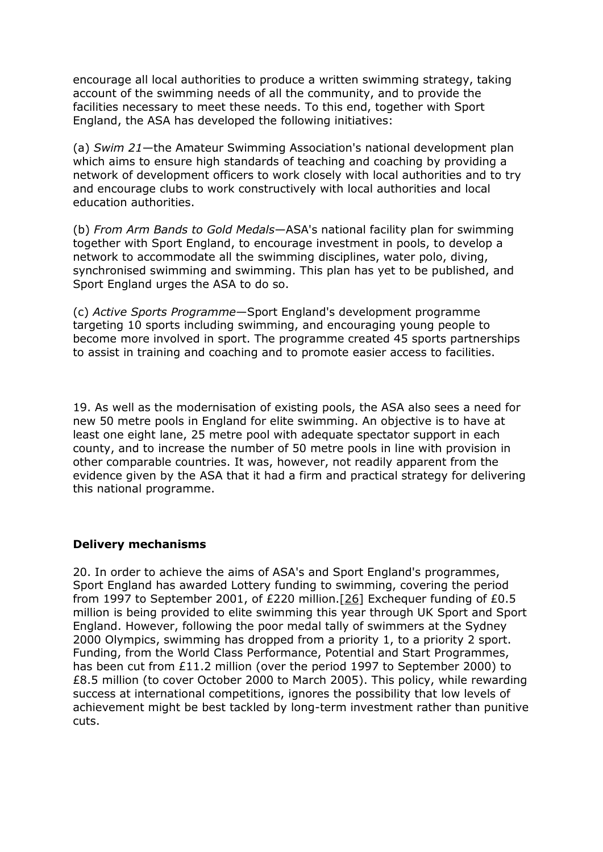encourage all local authorities to produce a written swimming strategy, taking account of the swimming needs of all the community, and to provide the facilities necessary to meet these needs. To this end, together with Sport England, the ASA has developed the following initiatives:

(a) *Swim 21*—the Amateur Swimming Association's national development plan which aims to ensure high standards of teaching and coaching by providing a network of development officers to work closely with local authorities and to try and encourage clubs to work constructively with local authorities and local education authorities.

(b) *From Arm Bands to Gold Medals*—ASA's national facility plan for swimming together with Sport England, to encourage investment in pools, to develop a network to accommodate all the swimming disciplines, water polo, diving, synchronised swimming and swimming. This plan has yet to be published, and Sport England urges the ASA to do so.

(c) *Active Sports Programme*—Sport England's development programme targeting 10 sports including swimming, and encouraging young people to become more involved in sport. The programme created 45 sports partnerships to assist in training and coaching and to promote easier access to facilities.

19. As well as the modernisation of existing pools, the ASA also sees a need for new 50 metre pools in England for elite swimming. An objective is to have at least one eight lane, 25 metre pool with adequate spectator support in each county, and to increase the number of 50 metre pools in line with provision in other comparable countries. It was, however, not readily apparent from the evidence given by the ASA that it had a firm and practical strategy for delivering this national programme.

#### **Delivery mechanisms**

20. In order to achieve the aims of ASA's and Sport England's programmes, Sport England has awarded Lottery funding to swimming, covering the period from 1997 to September 2001, of £220 million.[\[26\]](https://publications.parliament.uk/pa/cm200102/cmselect/cmcumeds/418/41806.htm#note26) Exchequer funding of £0.5 million is being provided to elite swimming this year through UK Sport and Sport England. However, following the poor medal tally of swimmers at the Sydney 2000 Olympics, swimming has dropped from a priority 1, to a priority 2 sport. Funding, from the World Class Performance, Potential and Start Programmes, has been cut from £11.2 million (over the period 1997 to September 2000) to £8.5 million (to cover October 2000 to March 2005). This policy, while rewarding success at international competitions, ignores the possibility that low levels of achievement might be best tackled by long-term investment rather than punitive cuts.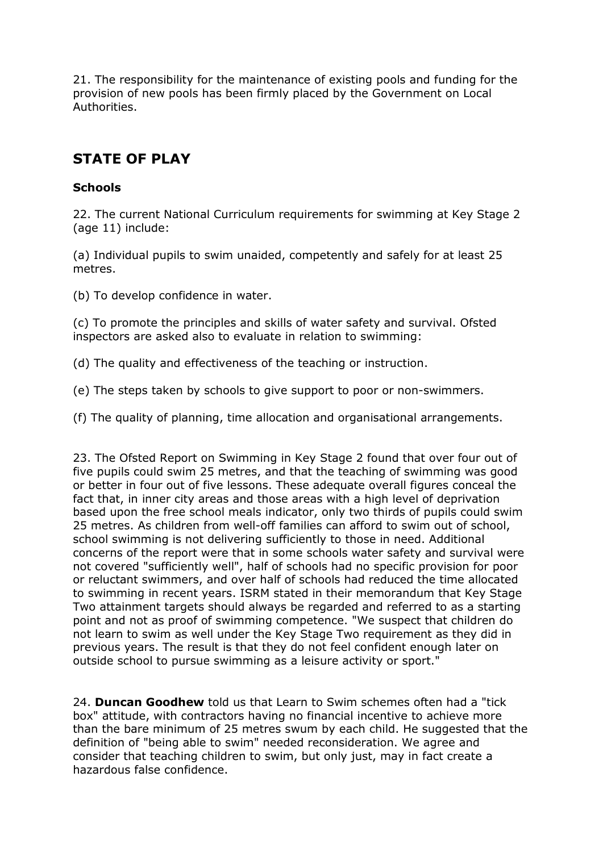21. The responsibility for the maintenance of existing pools and funding for the provision of new pools has been firmly placed by the Government on Local Authorities.

# **STATE OF PLAY**

### **Schools**

22. The current National Curriculum requirements for swimming at Key Stage 2 (age 11) include:

(a) Individual pupils to swim unaided, competently and safely for at least 25 metres.

(b) To develop confidence in water.

(c) To promote the principles and skills of water safety and survival. Ofsted inspectors are asked also to evaluate in relation to swimming:

(d) The quality and effectiveness of the teaching or instruction.

(e) The steps taken by schools to give support to poor or non-swimmers.

(f) The quality of planning, time allocation and organisational arrangements.

23. The Ofsted Report on Swimming in Key Stage 2 found that over four out of five pupils could swim 25 metres, and that the teaching of swimming was good or better in four out of five lessons. These adequate overall figures conceal the fact that, in inner city areas and those areas with a high level of deprivation based upon the free school meals indicator, only two thirds of pupils could swim 25 metres. As children from well-off families can afford to swim out of school, school swimming is not delivering sufficiently to those in need. Additional concerns of the report were that in some schools water safety and survival were not covered "sufficiently well", half of schools had no specific provision for poor or reluctant swimmers, and over half of schools had reduced the time allocated to swimming in recent years. ISRM stated in their memorandum that Key Stage Two attainment targets should always be regarded and referred to as a starting point and not as proof of swimming competence. "We suspect that children do not learn to swim as well under the Key Stage Two requirement as they did in previous years. The result is that they do not feel confident enough later on outside school to pursue swimming as a leisure activity or sport."

24. **Duncan Goodhew** told us that Learn to Swim schemes often had a "tick box" attitude, with contractors having no financial incentive to achieve more than the bare minimum of 25 metres swum by each child. He suggested that the definition of "being able to swim" needed reconsideration. We agree and consider that teaching children to swim, but only just, may in fact create a hazardous false confidence.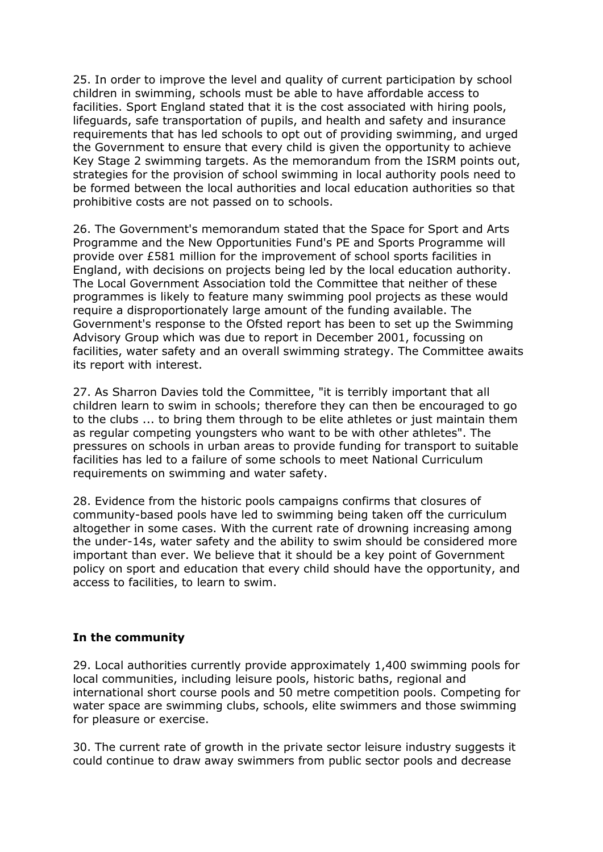25. In order to improve the level and quality of current participation by school children in swimming, schools must be able to have affordable access to facilities. Sport England stated that it is the cost associated with hiring pools, lifeguards, safe transportation of pupils, and health and safety and insurance requirements that has led schools to opt out of providing swimming, and urged the Government to ensure that every child is given the opportunity to achieve Key Stage 2 swimming targets. As the memorandum from the ISRM points out, strategies for the provision of school swimming in local authority pools need to be formed between the local authorities and local education authorities so that prohibitive costs are not passed on to schools.

26. The Government's memorandum stated that the Space for Sport and Arts Programme and the New Opportunities Fund's PE and Sports Programme will provide over £581 million for the improvement of school sports facilities in England, with decisions on projects being led by the local education authority. The Local Government Association told the Committee that neither of these programmes is likely to feature many swimming pool projects as these would require a disproportionately large amount of the funding available. The Government's response to the Ofsted report has been to set up the Swimming Advisory Group which was due to report in December 2001, focussing on facilities, water safety and an overall swimming strategy. The Committee awaits its report with interest.

27. As Sharron Davies told the Committee, "it is terribly important that all children learn to swim in schools; therefore they can then be encouraged to go to the clubs ... to bring them through to be elite athletes or just maintain them as regular competing youngsters who want to be with other athletes". The pressures on schools in urban areas to provide funding for transport to suitable facilities has led to a failure of some schools to meet National Curriculum requirements on swimming and water safety.

28. Evidence from the historic pools campaigns confirms that closures of community-based pools have led to swimming being taken off the curriculum altogether in some cases. With the current rate of drowning increasing among the under-14s, water safety and the ability to swim should be considered more important than ever. We believe that it should be a key point of Government policy on sport and education that every child should have the opportunity, and access to facilities, to learn to swim.

#### **In the community**

29. Local authorities currently provide approximately 1,400 swimming pools for local communities, including leisure pools, historic baths, regional and international short course pools and 50 metre competition pools. Competing for water space are swimming clubs, schools, elite swimmers and those swimming for pleasure or exercise.

30. The current rate of growth in the private sector leisure industry suggests it could continue to draw away swimmers from public sector pools and decrease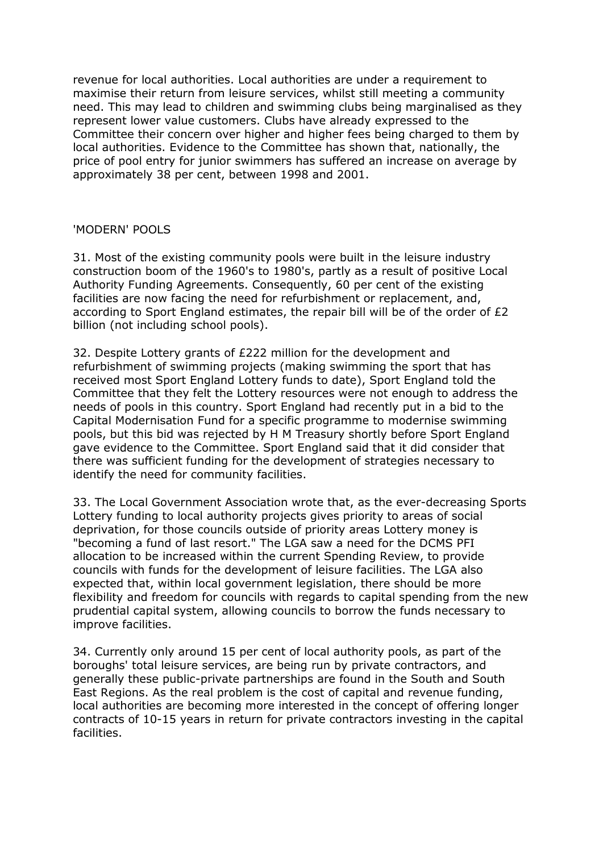revenue for local authorities. Local authorities are under a requirement to maximise their return from leisure services, whilst still meeting a community need. This may lead to children and swimming clubs being marginalised as they represent lower value customers. Clubs have already expressed to the Committee their concern over higher and higher fees being charged to them by local authorities. Evidence to the Committee has shown that, nationally, the price of pool entry for junior swimmers has suffered an increase on average by approximately 38 per cent, between 1998 and 2001.

#### 'MODERN' POOLS

31. Most of the existing community pools were built in the leisure industry construction boom of the 1960's to 1980's, partly as a result of positive Local Authority Funding Agreements. Consequently, 60 per cent of the existing facilities are now facing the need for refurbishment or replacement, and, according to Sport England estimates, the repair bill will be of the order of £2 billion (not including school pools).

32. Despite Lottery grants of £222 million for the development and refurbishment of swimming projects (making swimming the sport that has received most Sport England Lottery funds to date), Sport England told the Committee that they felt the Lottery resources were not enough to address the needs of pools in this country. Sport England had recently put in a bid to the Capital Modernisation Fund for a specific programme to modernise swimming pools, but this bid was rejected by H M Treasury shortly before Sport England gave evidence to the Committee. Sport England said that it did consider that there was sufficient funding for the development of strategies necessary to identify the need for community facilities.

33. The Local Government Association wrote that, as the ever-decreasing Sports Lottery funding to local authority projects gives priority to areas of social deprivation, for those councils outside of priority areas Lottery money is "becoming a fund of last resort." The LGA saw a need for the DCMS PFI allocation to be increased within the current Spending Review, to provide councils with funds for the development of leisure facilities. The LGA also expected that, within local government legislation, there should be more flexibility and freedom for councils with regards to capital spending from the new prudential capital system, allowing councils to borrow the funds necessary to improve facilities.

34. Currently only around 15 per cent of local authority pools, as part of the boroughs' total leisure services, are being run by private contractors, and generally these public-private partnerships are found in the South and South East Regions. As the real problem is the cost of capital and revenue funding, local authorities are becoming more interested in the concept of offering longer contracts of 10-15 years in return for private contractors investing in the capital facilities.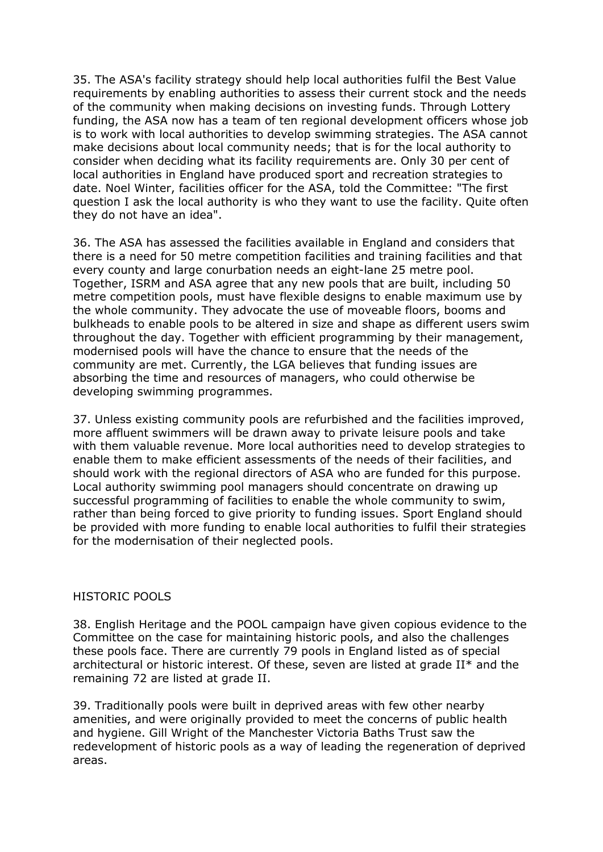35. The ASA's facility strategy should help local authorities fulfil the Best Value requirements by enabling authorities to assess their current stock and the needs of the community when making decisions on investing funds. Through Lottery funding, the ASA now has a team of ten regional development officers whose job is to work with local authorities to develop swimming strategies. The ASA cannot make decisions about local community needs; that is for the local authority to consider when deciding what its facility requirements are. Only 30 per cent of local authorities in England have produced sport and recreation strategies to date. Noel Winter, facilities officer for the ASA, told the Committee: "The first question I ask the local authority is who they want to use the facility. Quite often they do not have an idea".

36. The ASA has assessed the facilities available in England and considers that there is a need for 50 metre competition facilities and training facilities and that every county and large conurbation needs an eight-lane 25 metre pool. Together, ISRM and ASA agree that any new pools that are built, including 50 metre competition pools, must have flexible designs to enable maximum use by the whole community. They advocate the use of moveable floors, booms and bulkheads to enable pools to be altered in size and shape as different users swim throughout the day. Together with efficient programming by their management, modernised pools will have the chance to ensure that the needs of the community are met. Currently, the LGA believes that funding issues are absorbing the time and resources of managers, who could otherwise be developing swimming programmes.

37. Unless existing community pools are refurbished and the facilities improved, more affluent swimmers will be drawn away to private leisure pools and take with them valuable revenue. More local authorities need to develop strategies to enable them to make efficient assessments of the needs of their facilities, and should work with the regional directors of ASA who are funded for this purpose. Local authority swimming pool managers should concentrate on drawing up successful programming of facilities to enable the whole community to swim, rather than being forced to give priority to funding issues. Sport England should be provided with more funding to enable local authorities to fulfil their strategies for the modernisation of their neglected pools.

#### HISTORIC POOLS

38. English Heritage and the POOL campaign have given copious evidence to the Committee on the case for maintaining historic pools, and also the challenges these pools face. There are currently 79 pools in England listed as of special architectural or historic interest. Of these, seven are listed at grade  $II^*$  and the remaining 72 are listed at grade II.

39. Traditionally pools were built in deprived areas with few other nearby amenities, and were originally provided to meet the concerns of public health and hygiene. Gill Wright of the Manchester Victoria Baths Trust saw the redevelopment of historic pools as a way of leading the regeneration of deprived areas.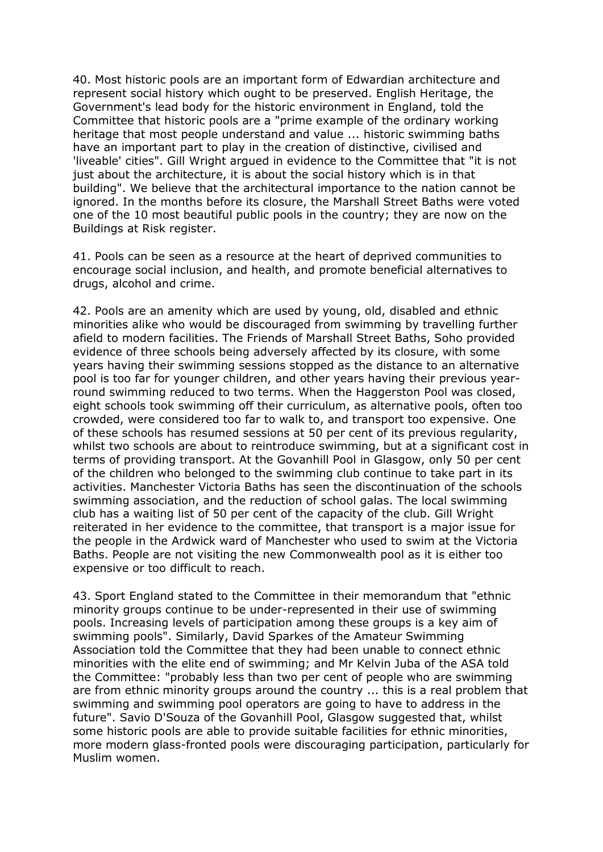40. Most historic pools are an important form of Edwardian architecture and represent social history which ought to be preserved. English Heritage, the Government's lead body for the historic environment in England, told the Committee that historic pools are a "prime example of the ordinary working heritage that most people understand and value ... historic swimming baths have an important part to play in the creation of distinctive, civilised and 'liveable' cities". Gill Wright argued in evidence to the Committee that "it is not just about the architecture, it is about the social history which is in that building". We believe that the architectural importance to the nation cannot be ignored. In the months before its closure, the Marshall Street Baths were voted one of the 10 most beautiful public pools in the country; they are now on the Buildings at Risk register.

41. Pools can be seen as a resource at the heart of deprived communities to encourage social inclusion, and health, and promote beneficial alternatives to drugs, alcohol and crime.

42. Pools are an amenity which are used by young, old, disabled and ethnic minorities alike who would be discouraged from swimming by travelling further afield to modern facilities. The Friends of Marshall Street Baths, Soho provided evidence of three schools being adversely affected by its closure, with some years having their swimming sessions stopped as the distance to an alternative pool is too far for younger children, and other years having their previous yearround swimming reduced to two terms. When the Haggerston Pool was closed, eight schools took swimming off their curriculum, as alternative pools, often too crowded, were considered too far to walk to, and transport too expensive. One of these schools has resumed sessions at 50 per cent of its previous regularity, whilst two schools are about to reintroduce swimming, but at a significant cost in terms of providing transport. At the Govanhill Pool in Glasgow, only 50 per cent of the children who belonged to the swimming club continue to take part in its activities. Manchester Victoria Baths has seen the discontinuation of the schools swimming association, and the reduction of school galas. The local swimming club has a waiting list of 50 per cent of the capacity of the club. Gill Wright reiterated in her evidence to the committee, that transport is a major issue for the people in the Ardwick ward of Manchester who used to swim at the Victoria Baths. People are not visiting the new Commonwealth pool as it is either too expensive or too difficult to reach.

43. Sport England stated to the Committee in their memorandum that "ethnic minority groups continue to be under-represented in their use of swimming pools. Increasing levels of participation among these groups is a key aim of swimming pools". Similarly, David Sparkes of the Amateur Swimming Association told the Committee that they had been unable to connect ethnic minorities with the elite end of swimming; and Mr Kelvin Juba of the ASA told the Committee: "probably less than two per cent of people who are swimming are from ethnic minority groups around the country ... this is a real problem that swimming and swimming pool operators are going to have to address in the future". Savio D'Souza of the Govanhill Pool, Glasgow suggested that, whilst some historic pools are able to provide suitable facilities for ethnic minorities, more modern glass-fronted pools were discouraging participation, particularly for Muslim women.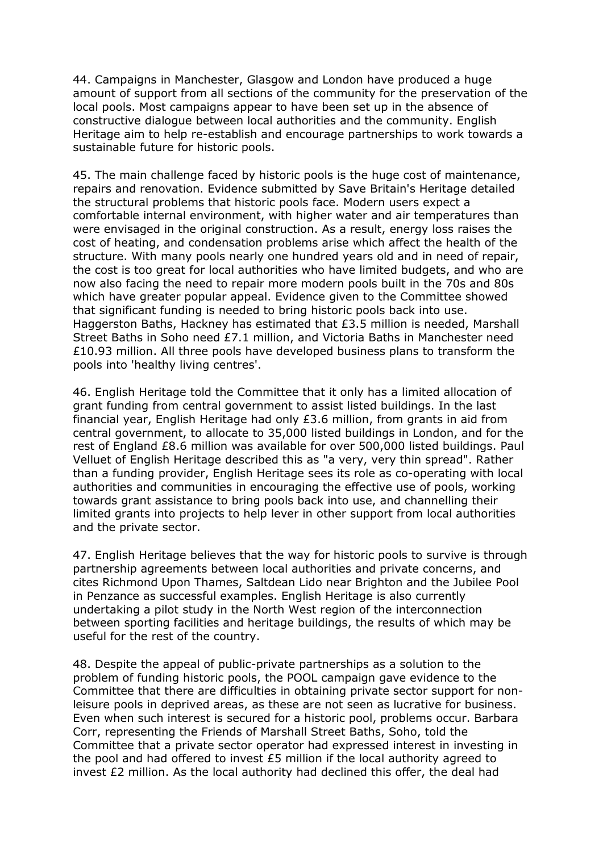44. Campaigns in Manchester, Glasgow and London have produced a huge amount of support from all sections of the community for the preservation of the local pools. Most campaigns appear to have been set up in the absence of constructive dialogue between local authorities and the community. English Heritage aim to help re-establish and encourage partnerships to work towards a sustainable future for historic pools.

45. The main challenge faced by historic pools is the huge cost of maintenance, repairs and renovation. Evidence submitted by Save Britain's Heritage detailed the structural problems that historic pools face. Modern users expect a comfortable internal environment, with higher water and air temperatures than were envisaged in the original construction. As a result, energy loss raises the cost of heating, and condensation problems arise which affect the health of the structure. With many pools nearly one hundred years old and in need of repair, the cost is too great for local authorities who have limited budgets, and who are now also facing the need to repair more modern pools built in the 70s and 80s which have greater popular appeal. Evidence given to the Committee showed that significant funding is needed to bring historic pools back into use. Haggerston Baths, Hackney has estimated that £3.5 million is needed, Marshall Street Baths in Soho need £7.1 million, and Victoria Baths in Manchester need £10.93 million. All three pools have developed business plans to transform the pools into 'healthy living centres'.

46. English Heritage told the Committee that it only has a limited allocation of grant funding from central government to assist listed buildings. In the last financial year, English Heritage had only £3.6 million, from grants in aid from central government, to allocate to 35,000 listed buildings in London, and for the rest of England £8.6 million was available for over 500,000 listed buildings. Paul Velluet of English Heritage described this as "a very, very thin spread". Rather than a funding provider, English Heritage sees its role as co-operating with local authorities and communities in encouraging the effective use of pools, working towards grant assistance to bring pools back into use, and channelling their limited grants into projects to help lever in other support from local authorities and the private sector.

47. English Heritage believes that the way for historic pools to survive is through partnership agreements between local authorities and private concerns, and cites Richmond Upon Thames, Saltdean Lido near Brighton and the Jubilee Pool in Penzance as successful examples. English Heritage is also currently undertaking a pilot study in the North West region of the interconnection between sporting facilities and heritage buildings, the results of which may be useful for the rest of the country.

48. Despite the appeal of public-private partnerships as a solution to the problem of funding historic pools, the POOL campaign gave evidence to the Committee that there are difficulties in obtaining private sector support for nonleisure pools in deprived areas, as these are not seen as lucrative for business. Even when such interest is secured for a historic pool, problems occur. Barbara Corr, representing the Friends of Marshall Street Baths, Soho, told the Committee that a private sector operator had expressed interest in investing in the pool and had offered to invest £5 million if the local authority agreed to invest £2 million. As the local authority had declined this offer, the deal had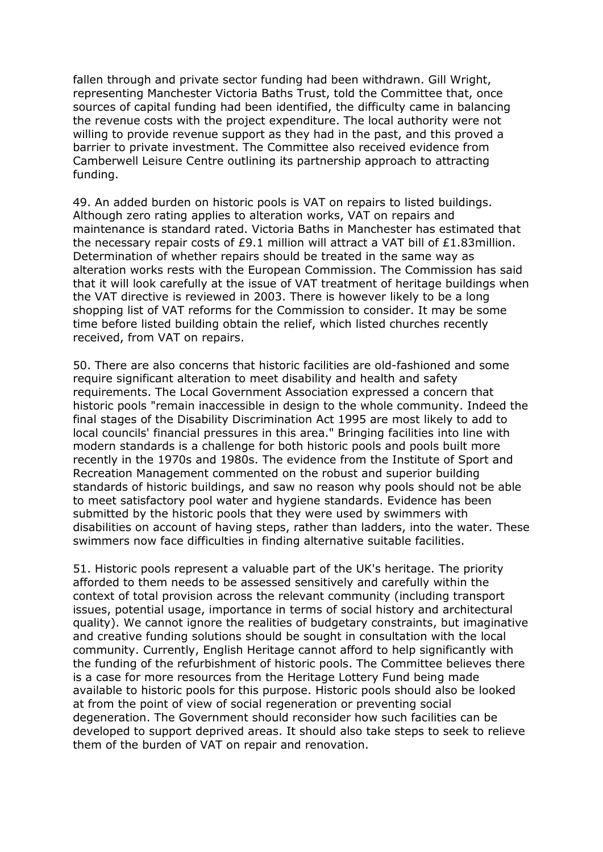fallen through and private sector funding had been withdrawn. Gill Wright, representing Manchester Victoria Baths Trust, told the Committee that, once sources of capital funding had been identified, the difficulty came in balancing the revenue costs with the project expenditure. The local authority were not willing to provide revenue support as they had in the past, and this proved a barrier to private investment. The Committee also received evidence from Camberwell Leisure Centre outlining its partnership approach to attracting funding.

49. An added burden on historic pools is VAT on repairs to listed buildings. Although zero rating applies to alteration works, VAT on repairs and maintenance is standard rated. Victoria Baths in Manchester has estimated that the necessary repair costs of £9.1 million will attract a VAT bill of £1.83million. Determination of whether repairs should be treated in the same way as alteration works rests with the European Commission. The Commission has said that it will look carefully at the issue of VAT treatment of heritage buildings when the VAT directive is reviewed in 2003. There is however likely to be a long shopping list of VAT reforms for the Commission to consider. It may be some time before listed building obtain the relief, which listed churches recently received, from VAT on repairs.

50. There are also concerns that historic facilities are old-fashioned and some require significant alteration to meet disability and health and safety requirements. The Local Government Association expressed a concern that historic pools "remain inaccessible in design to the whole community. Indeed the final stages of the Disability Discrimination Act 1995 are most likely to add to local councils' financial pressures in this area." Bringing facilities into line with modern standards is a challenge for both historic pools and pools built more recently in the 1970s and 1980s. The evidence from the Institute of Sport and Recreation Management commented on the robust and superior building standards of historic buildings, and saw no reason why pools should not be able to meet satisfactory pool water and hygiene standards. Evidence has been submitted by the historic pools that they were used by swimmers with disabilities on account of having steps, rather than ladders, into the water. These swimmers now face difficulties in finding alternative suitable facilities.

51. Historic pools represent a valuable part of the UK's heritage. The priority afforded to them needs to be assessed sensitively and carefully within the context of total provision across the relevant community (including transport issues, potential usage, importance in terms of social history and architectural quality). We cannot ignore the realities of budgetary constraints, but imaginative and creative funding solutions should be sought in consultation with the local community. Currently, English Heritage cannot afford to help significantly with the funding of the refurbishment of historic pools. The Committee believes there is a case for more resources from the Heritage Lottery Fund being made available to historic pools for this purpose. Historic pools should also be looked at from the point of view of social regeneration or preventing social degeneration. The Government should reconsider how such facilities can be developed to support deprived areas. It should also take steps to seek to relieve them of the burden of VAT on repair and renovation.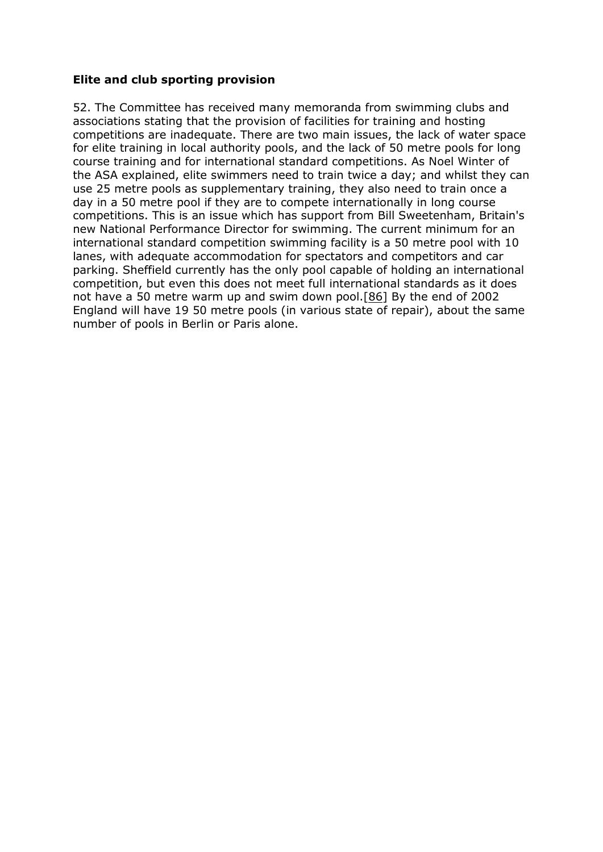#### **Elite and club sporting provision**

52. The Committee has received many memoranda from swimming clubs and associations stating that the provision of facilities for training and hosting competitions are inadequate. There are two main issues, the lack of water space for elite training in local authority pools, and the lack of 50 metre pools for long course training and for international standard competitions. As Noel Winter of the ASA explained, elite swimmers need to train twice a day; and whilst they can use 25 metre pools as supplementary training, they also need to train once a day in a 50 metre pool if they are to compete internationally in long course competitions. This is an issue which has support from Bill Sweetenham, Britain's new National Performance Director for swimming. The current minimum for an international standard competition swimming facility is a 50 metre pool with 10 lanes, with adequate accommodation for spectators and competitors and car parking. Sheffield currently has the only pool capable of holding an international competition, but even this does not meet full international standards as it does not have a 50 metre warm up and swim down pool.[\[86\]](https://publications.parliament.uk/pa/cm200102/cmselect/cmcumeds/418/41807.htm#note86) By the end of 2002 England will have 19 50 metre pools (in various state of repair), about the same number of pools in Berlin or Paris alone.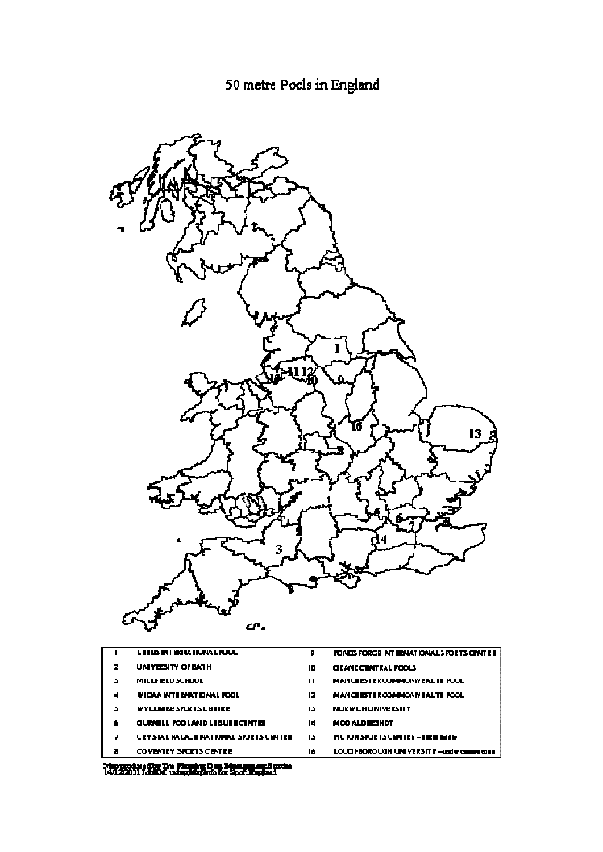

| UNIVEISITY OF BATH<br>10<br><b>GRAND CENTRAL POOLS</b><br>MILLI BLUSLHUUL<br><b>MARLIES I EK LUMMURWEAL IN KUUL</b><br>Ш | <b>LEEUS INTERNATIONAL PUUL</b> | ņ | PONDS FORGE NT ERNATIONAL 3 FORTS CENTRE    |
|--------------------------------------------------------------------------------------------------------------------------|---------------------------------|---|---------------------------------------------|
|                                                                                                                          |                                 |   |                                             |
|                                                                                                                          |                                 |   |                                             |
| 12<br>IN IGAA INTERNATIONAL POOL<br>MANCHESTER COMMONNEALTH ROOL<br>И                                                    |                                 |   |                                             |
| <b>WYLUMBESPUCISLEMIKE</b><br>13<br><b>NUKWERUNIVEKSITY</b><br>a                                                         |                                 |   |                                             |
| <b>GURNELL POOLAND LEBURE CENTRE</b><br><b>MOD ALD BESHOT</b><br>6.<br>Ш                                                 |                                 |   |                                             |
| <b>URY STALE PALACE INATIONAL SPURTS UNITRE</b><br>15<br>FIL TUITSPURTSLENTRE-AUCH CHAG                                  |                                 |   |                                             |
| 16<br>COVERTRY SPCRTS CENTRE<br>п                                                                                        |                                 |   | LOUG FROROUGH UNIVERSITY - Inder contrigued |

Map produced by The Floring Dan Navagan av Sarrice<br>14/12/2011 Joh. Musing Mapratofor Spor. England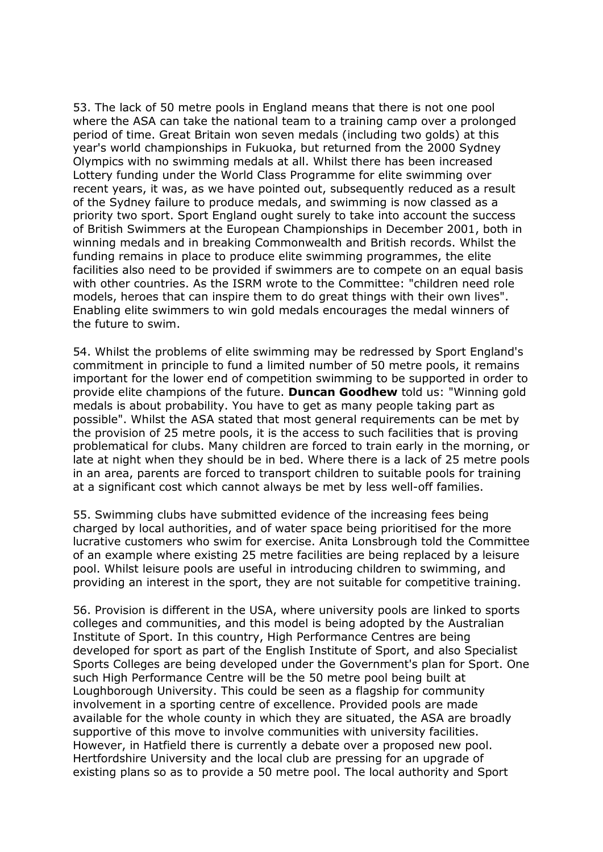53. The lack of 50 metre pools in England means that there is not one pool where the ASA can take the national team to a training camp over a prolonged period of time. Great Britain won seven medals (including two golds) at this year's world championships in Fukuoka, but returned from the 2000 Sydney Olympics with no swimming medals at all. Whilst there has been increased Lottery funding under the World Class Programme for elite swimming over recent years, it was, as we have pointed out, subsequently reduced as a result of the Sydney failure to produce medals, and swimming is now classed as a priority two sport. Sport England ought surely to take into account the success of British Swimmers at the European Championships in December 2001, both in winning medals and in breaking Commonwealth and British records. Whilst the funding remains in place to produce elite swimming programmes, the elite facilities also need to be provided if swimmers are to compete on an equal basis with other countries. As the ISRM wrote to the Committee: "children need role models, heroes that can inspire them to do great things with their own lives". Enabling elite swimmers to win gold medals encourages the medal winners of the future to swim.

54. Whilst the problems of elite swimming may be redressed by Sport England's commitment in principle to fund a limited number of 50 metre pools, it remains important for the lower end of competition swimming to be supported in order to provide elite champions of the future. **Duncan Goodhew** told us: "Winning gold medals is about probability. You have to get as many people taking part as possible". Whilst the ASA stated that most general requirements can be met by the provision of 25 metre pools, it is the access to such facilities that is proving problematical for clubs. Many children are forced to train early in the morning, or late at night when they should be in bed. Where there is a lack of 25 metre pools in an area, parents are forced to transport children to suitable pools for training at a significant cost which cannot always be met by less well-off families.

55. Swimming clubs have submitted evidence of the increasing fees being charged by local authorities, and of water space being prioritised for the more lucrative customers who swim for exercise. Anita Lonsbrough told the Committee of an example where existing 25 metre facilities are being replaced by a leisure pool. Whilst leisure pools are useful in introducing children to swimming, and providing an interest in the sport, they are not suitable for competitive training.

56. Provision is different in the USA, where university pools are linked to sports colleges and communities, and this model is being adopted by the Australian Institute of Sport. In this country, High Performance Centres are being developed for sport as part of the English Institute of Sport, and also Specialist Sports Colleges are being developed under the Government's plan for Sport. One such High Performance Centre will be the 50 metre pool being built at Loughborough University. This could be seen as a flagship for community involvement in a sporting centre of excellence. Provided pools are made available for the whole county in which they are situated, the ASA are broadly supportive of this move to involve communities with university facilities. However, in Hatfield there is currently a debate over a proposed new pool. Hertfordshire University and the local club are pressing for an upgrade of existing plans so as to provide a 50 metre pool. The local authority and Sport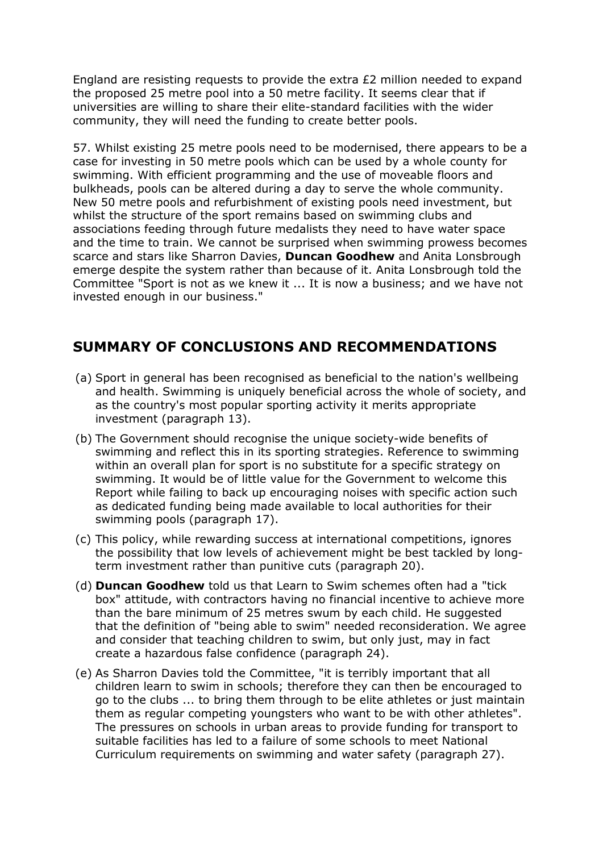England are resisting requests to provide the extra £2 million needed to expand the proposed 25 metre pool into a 50 metre facility. It seems clear that if universities are willing to share their elite-standard facilities with the wider community, they will need the funding to create better pools.

57. Whilst existing 25 metre pools need to be modernised, there appears to be a case for investing in 50 metre pools which can be used by a whole county for swimming. With efficient programming and the use of moveable floors and bulkheads, pools can be altered during a day to serve the whole community. New 50 metre pools and refurbishment of existing pools need investment, but whilst the structure of the sport remains based on swimming clubs and associations feeding through future medalists they need to have water space and the time to train. We cannot be surprised when swimming prowess becomes scarce and stars like Sharron Davies, **Duncan Goodhew** and Anita Lonsbrough emerge despite the system rather than because of it. Anita Lonsbrough told the Committee "Sport is not as we knew it ... It is now a business; and we have not invested enough in our business."

### **SUMMARY OF CONCLUSIONS AND RECOMMENDATIONS**

- (a) Sport in general has been recognised as beneficial to the nation's wellbeing and health. Swimming is uniquely beneficial across the whole of society, and as the country's most popular sporting activity it merits appropriate investment (paragraph 13).
- (b) The Government should recognise the unique society-wide benefits of swimming and reflect this in its sporting strategies. Reference to swimming within an overall plan for sport is no substitute for a specific strategy on swimming. It would be of little value for the Government to welcome this Report while failing to back up encouraging noises with specific action such as dedicated funding being made available to local authorities for their swimming pools (paragraph 17).
- (c) This policy, while rewarding success at international competitions, ignores the possibility that low levels of achievement might be best tackled by longterm investment rather than punitive cuts (paragraph 20).
- (d) **Duncan Goodhew** told us that Learn to Swim schemes often had a "tick box" attitude, with contractors having no financial incentive to achieve more than the bare minimum of 25 metres swum by each child. He suggested that the definition of "being able to swim" needed reconsideration. We agree and consider that teaching children to swim, but only just, may in fact create a hazardous false confidence (paragraph 24).
- (e) As Sharron Davies told the Committee, "it is terribly important that all children learn to swim in schools; therefore they can then be encouraged to go to the clubs ... to bring them through to be elite athletes or just maintain them as regular competing youngsters who want to be with other athletes". The pressures on schools in urban areas to provide funding for transport to suitable facilities has led to a failure of some schools to meet National Curriculum requirements on swimming and water safety (paragraph 27).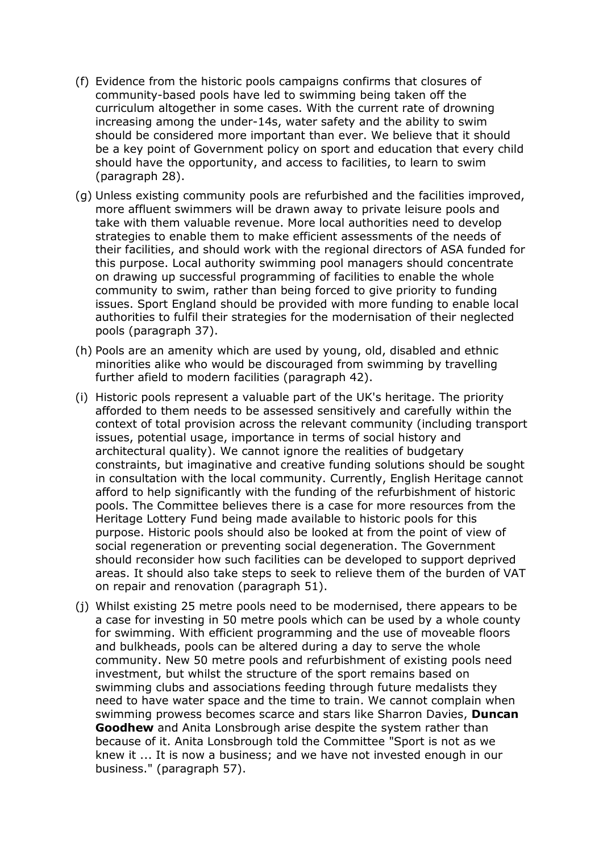- (f) Evidence from the historic pools campaigns confirms that closures of community-based pools have led to swimming being taken off the curriculum altogether in some cases. With the current rate of drowning increasing among the under-14s, water safety and the ability to swim should be considered more important than ever. We believe that it should be a key point of Government policy on sport and education that every child should have the opportunity, and access to facilities, to learn to swim (paragraph 28).
- (g) Unless existing community pools are refurbished and the facilities improved, more affluent swimmers will be drawn away to private leisure pools and take with them valuable revenue. More local authorities need to develop strategies to enable them to make efficient assessments of the needs of their facilities, and should work with the regional directors of ASA funded for this purpose. Local authority swimming pool managers should concentrate on drawing up successful programming of facilities to enable the whole community to swim, rather than being forced to give priority to funding issues. Sport England should be provided with more funding to enable local authorities to fulfil their strategies for the modernisation of their neglected pools (paragraph 37).
- (h) Pools are an amenity which are used by young, old, disabled and ethnic minorities alike who would be discouraged from swimming by travelling further afield to modern facilities (paragraph 42).
- (i) Historic pools represent a valuable part of the UK's heritage. The priority afforded to them needs to be assessed sensitively and carefully within the context of total provision across the relevant community (including transport issues, potential usage, importance in terms of social history and architectural quality). We cannot ignore the realities of budgetary constraints, but imaginative and creative funding solutions should be sought in consultation with the local community. Currently, English Heritage cannot afford to help significantly with the funding of the refurbishment of historic pools. The Committee believes there is a case for more resources from the Heritage Lottery Fund being made available to historic pools for this purpose. Historic pools should also be looked at from the point of view of social regeneration or preventing social degeneration. The Government should reconsider how such facilities can be developed to support deprived areas. It should also take steps to seek to relieve them of the burden of VAT on repair and renovation (paragraph 51).
- (j) Whilst existing 25 metre pools need to be modernised, there appears to be a case for investing in 50 metre pools which can be used by a whole county for swimming. With efficient programming and the use of moveable floors and bulkheads, pools can be altered during a day to serve the whole community. New 50 metre pools and refurbishment of existing pools need investment, but whilst the structure of the sport remains based on swimming clubs and associations feeding through future medalists they need to have water space and the time to train. We cannot complain when swimming prowess becomes scarce and stars like Sharron Davies, **Duncan Goodhew** and Anita Lonsbrough arise despite the system rather than because of it. Anita Lonsbrough told the Committee "Sport is not as we knew it ... It is now a business; and we have not invested enough in our business." (paragraph 57).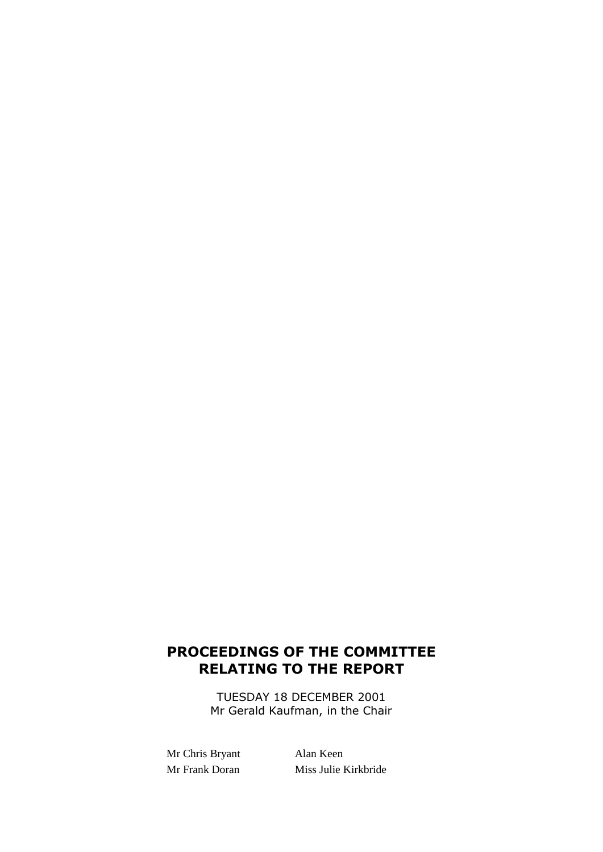# **PROCEEDINGS OF THE COMMITTEE RELATING TO THE REPORT**

TUESDAY 18 DECEMBER 2001 Mr Gerald Kaufman, in the Chair

Mr Chris Bryant Alan Keen

Mr Frank Doran Miss Julie Kirkbride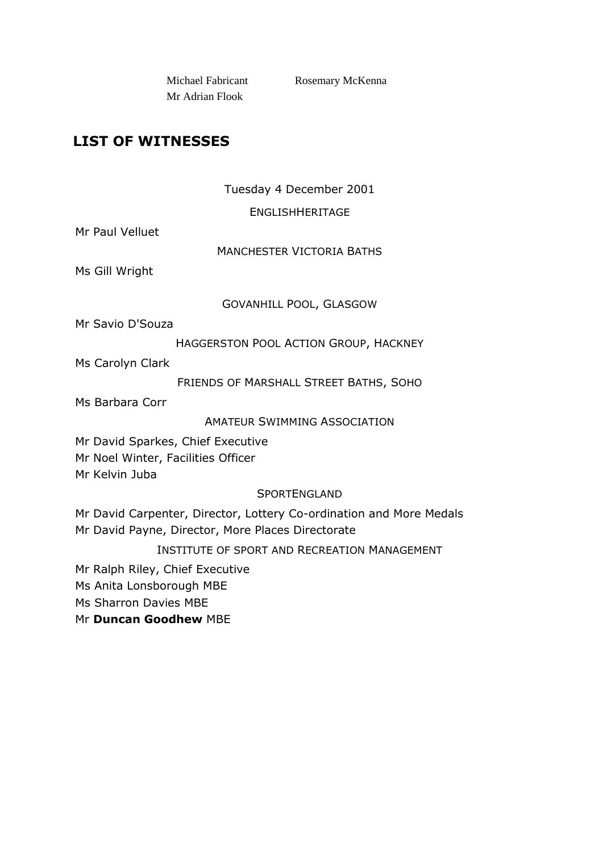Mr Adrian Flook

Michael Fabricant Rosemary McKenna

## **LIST OF WITNESSES**

### Tuesday 4 December 2001

ENGLISHHERITAGE

Mr Paul Velluet

MANCHESTER VICTORIA BATHS

Ms Gill Wright

GOVANHILL POOL, GLASGOW

Mr Savio D'Souza

HAGGERSTON POOL ACTION GROUP, HACKNEY

Ms Carolyn Clark

FRIENDS OF MARSHALL STREET BATHS, SOHO

Ms Barbara Corr

AMATEUR SWIMMING ASSOCIATION

Mr David Sparkes, Chief Executive Mr Noel Winter, Facilities Officer

Mr Kelvin Juba

### **SPORTENGLAND**

Mr David Carpenter, Director, Lottery Co-ordination and More Medals Mr David Payne, Director, More Places Directorate

INSTITUTE OF SPORT AND RECREATION MANAGEMENT

Mr Ralph Riley, Chief Executive

Ms Anita Lonsborough MBE

Ms Sharron Davies MBE

Mr **Duncan Goodhew** MBE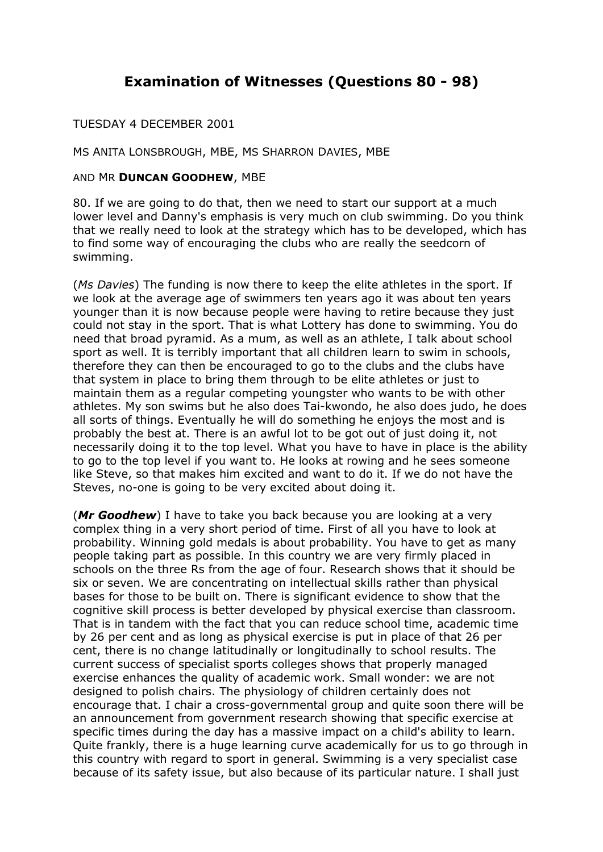### **Examination of Witnesses (Questions 80 - 98)**

#### TUESDAY 4 DECEMBER 2001

MS ANITA LONSBROUGH, MBE, MS SHARRON DAVIES, MBE

#### AND MR **DUNCAN GOODHEW**, MBE

80. If we are going to do that, then we need to start our support at a much lower level and Danny's emphasis is very much on club swimming. Do you think that we really need to look at the strategy which has to be developed, which has to find some way of encouraging the clubs who are really the seedcorn of swimming.

(*Ms Davies*) The funding is now there to keep the elite athletes in the sport. If we look at the average age of swimmers ten years ago it was about ten years younger than it is now because people were having to retire because they just could not stay in the sport. That is what Lottery has done to swimming. You do need that broad pyramid. As a mum, as well as an athlete, I talk about school sport as well. It is terribly important that all children learn to swim in schools, therefore they can then be encouraged to go to the clubs and the clubs have that system in place to bring them through to be elite athletes or just to maintain them as a regular competing youngster who wants to be with other athletes. My son swims but he also does Tai-kwondo, he also does judo, he does all sorts of things. Eventually he will do something he enjoys the most and is probably the best at. There is an awful lot to be got out of just doing it, not necessarily doing it to the top level. What you have to have in place is the ability to go to the top level if you want to. He looks at rowing and he sees someone like Steve, so that makes him excited and want to do it. If we do not have the Steves, no-one is going to be very excited about doing it.

(*Mr Goodhew*) I have to take you back because you are looking at a very complex thing in a very short period of time. First of all you have to look at probability. Winning gold medals is about probability. You have to get as many people taking part as possible. In this country we are very firmly placed in schools on the three Rs from the age of four. Research shows that it should be six or seven. We are concentrating on intellectual skills rather than physical bases for those to be built on. There is significant evidence to show that the cognitive skill process is better developed by physical exercise than classroom. That is in tandem with the fact that you can reduce school time, academic time by 26 per cent and as long as physical exercise is put in place of that 26 per cent, there is no change latitudinally or longitudinally to school results. The current success of specialist sports colleges shows that properly managed exercise enhances the quality of academic work. Small wonder: we are not designed to polish chairs. The physiology of children certainly does not encourage that. I chair a cross-governmental group and quite soon there will be an announcement from government research showing that specific exercise at specific times during the day has a massive impact on a child's ability to learn. Quite frankly, there is a huge learning curve academically for us to go through in this country with regard to sport in general. Swimming is a very specialist case because of its safety issue, but also because of its particular nature. I shall just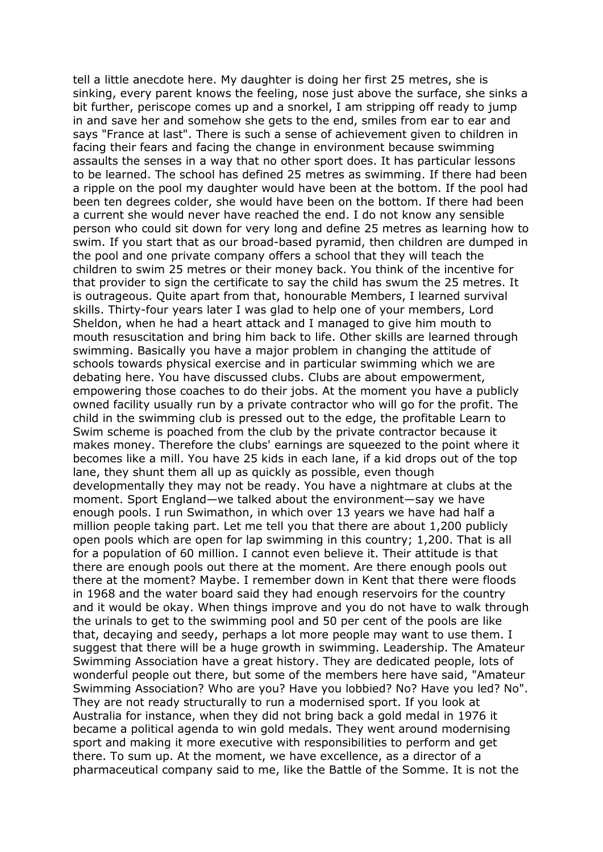tell a little anecdote here. My daughter is doing her first 25 metres, she is sinking, every parent knows the feeling, nose just above the surface, she sinks a bit further, periscope comes up and a snorkel, I am stripping off ready to jump in and save her and somehow she gets to the end, smiles from ear to ear and says "France at last". There is such a sense of achievement given to children in facing their fears and facing the change in environment because swimming assaults the senses in a way that no other sport does. It has particular lessons to be learned. The school has defined 25 metres as swimming. If there had been a ripple on the pool my daughter would have been at the bottom. If the pool had been ten degrees colder, she would have been on the bottom. If there had been a current she would never have reached the end. I do not know any sensible person who could sit down for very long and define 25 metres as learning how to swim. If you start that as our broad-based pyramid, then children are dumped in the pool and one private company offers a school that they will teach the children to swim 25 metres or their money back. You think of the incentive for that provider to sign the certificate to say the child has swum the 25 metres. It is outrageous. Quite apart from that, honourable Members, I learned survival skills. Thirty-four years later I was glad to help one of your members, Lord Sheldon, when he had a heart attack and I managed to give him mouth to mouth resuscitation and bring him back to life. Other skills are learned through swimming. Basically you have a major problem in changing the attitude of schools towards physical exercise and in particular swimming which we are debating here. You have discussed clubs. Clubs are about empowerment, empowering those coaches to do their jobs. At the moment you have a publicly owned facility usually run by a private contractor who will go for the profit. The child in the swimming club is pressed out to the edge, the profitable Learn to Swim scheme is poached from the club by the private contractor because it makes money. Therefore the clubs' earnings are squeezed to the point where it becomes like a mill. You have 25 kids in each lane, if a kid drops out of the top lane, they shunt them all up as quickly as possible, even though developmentally they may not be ready. You have a nightmare at clubs at the moment. Sport England—we talked about the environment—say we have enough pools. I run Swimathon, in which over 13 years we have had half a million people taking part. Let me tell you that there are about 1,200 publicly open pools which are open for lap swimming in this country; 1,200. That is all for a population of 60 million. I cannot even believe it. Their attitude is that there are enough pools out there at the moment. Are there enough pools out there at the moment? Maybe. I remember down in Kent that there were floods in 1968 and the water board said they had enough reservoirs for the country and it would be okay. When things improve and you do not have to walk through the urinals to get to the swimming pool and 50 per cent of the pools are like that, decaying and seedy, perhaps a lot more people may want to use them. I suggest that there will be a huge growth in swimming. Leadership. The Amateur Swimming Association have a great history. They are dedicated people, lots of wonderful people out there, but some of the members here have said, "Amateur Swimming Association? Who are you? Have you lobbied? No? Have you led? No". They are not ready structurally to run a modernised sport. If you look at Australia for instance, when they did not bring back a gold medal in 1976 it became a political agenda to win gold medals. They went around modernising sport and making it more executive with responsibilities to perform and get there. To sum up. At the moment, we have excellence, as a director of a pharmaceutical company said to me, like the Battle of the Somme. It is not the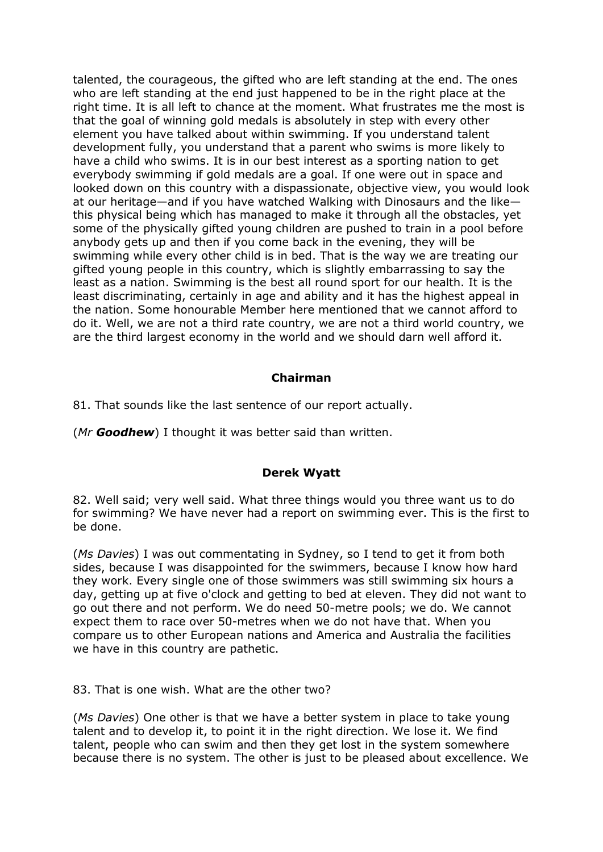talented, the courageous, the gifted who are left standing at the end. The ones who are left standing at the end just happened to be in the right place at the right time. It is all left to chance at the moment. What frustrates me the most is that the goal of winning gold medals is absolutely in step with every other element you have talked about within swimming. If you understand talent development fully, you understand that a parent who swims is more likely to have a child who swims. It is in our best interest as a sporting nation to get everybody swimming if gold medals are a goal. If one were out in space and looked down on this country with a dispassionate, objective view, you would look at our heritage—and if you have watched Walking with Dinosaurs and the like this physical being which has managed to make it through all the obstacles, yet some of the physically gifted young children are pushed to train in a pool before anybody gets up and then if you come back in the evening, they will be swimming while every other child is in bed. That is the way we are treating our gifted young people in this country, which is slightly embarrassing to say the least as a nation. Swimming is the best all round sport for our health. It is the least discriminating, certainly in age and ability and it has the highest appeal in the nation. Some honourable Member here mentioned that we cannot afford to do it. Well, we are not a third rate country, we are not a third world country, we are the third largest economy in the world and we should darn well afford it.

#### **Chairman**

81. That sounds like the last sentence of our report actually.

(*Mr Goodhew*) I thought it was better said than written.

#### **Derek Wyatt**

82. Well said; very well said. What three things would you three want us to do for swimming? We have never had a report on swimming ever. This is the first to be done.

(*Ms Davies*) I was out commentating in Sydney, so I tend to get it from both sides, because I was disappointed for the swimmers, because I know how hard they work. Every single one of those swimmers was still swimming six hours a day, getting up at five o'clock and getting to bed at eleven. They did not want to go out there and not perform. We do need 50-metre pools; we do. We cannot expect them to race over 50-metres when we do not have that. When you compare us to other European nations and America and Australia the facilities we have in this country are pathetic.

83. That is one wish. What are the other two?

(*Ms Davies*) One other is that we have a better system in place to take young talent and to develop it, to point it in the right direction. We lose it. We find talent, people who can swim and then they get lost in the system somewhere because there is no system. The other is just to be pleased about excellence. We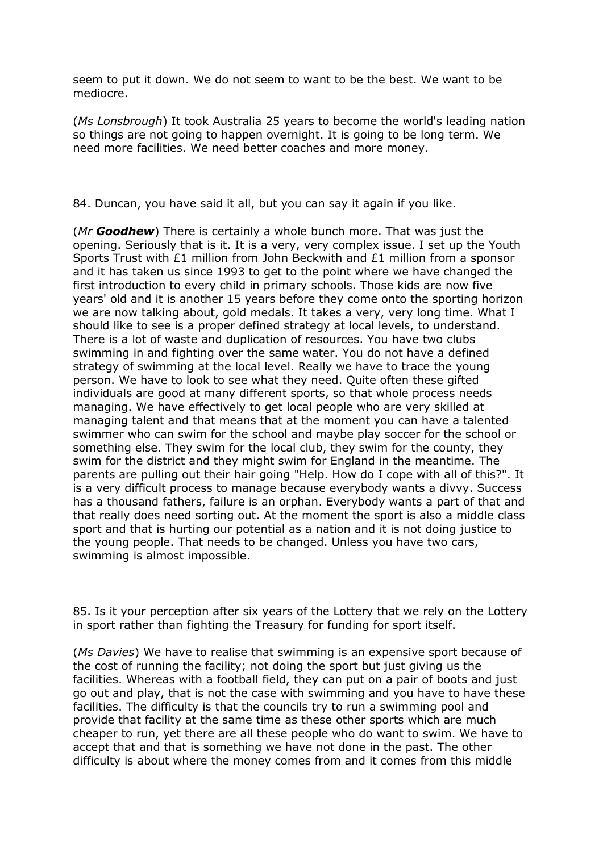seem to put it down. We do not seem to want to be the best. We want to be mediocre.

(*Ms Lonsbrough*) It took Australia 25 years to become the world's leading nation so things are not going to happen overnight. It is going to be long term. We need more facilities. We need better coaches and more money.

84. Duncan, you have said it all, but you can say it again if you like.

(*Mr Goodhew*) There is certainly a whole bunch more. That was just the opening. Seriously that is it. It is a very, very complex issue. I set up the Youth Sports Trust with £1 million from John Beckwith and £1 million from a sponsor and it has taken us since 1993 to get to the point where we have changed the first introduction to every child in primary schools. Those kids are now five years' old and it is another 15 years before they come onto the sporting horizon we are now talking about, gold medals. It takes a very, very long time. What I should like to see is a proper defined strategy at local levels, to understand. There is a lot of waste and duplication of resources. You have two clubs swimming in and fighting over the same water. You do not have a defined strategy of swimming at the local level. Really we have to trace the young person. We have to look to see what they need. Quite often these gifted individuals are good at many different sports, so that whole process needs managing. We have effectively to get local people who are very skilled at managing talent and that means that at the moment you can have a talented swimmer who can swim for the school and maybe play soccer for the school or something else. They swim for the local club, they swim for the county, they swim for the district and they might swim for England in the meantime. The parents are pulling out their hair going "Help. How do I cope with all of this?". It is a very difficult process to manage because everybody wants a divvy. Success has a thousand fathers, failure is an orphan. Everybody wants a part of that and that really does need sorting out. At the moment the sport is also a middle class sport and that is hurting our potential as a nation and it is not doing justice to the young people. That needs to be changed. Unless you have two cars, swimming is almost impossible.

85. Is it your perception after six years of the Lottery that we rely on the Lottery in sport rather than fighting the Treasury for funding for sport itself.

(*Ms Davies*) We have to realise that swimming is an expensive sport because of the cost of running the facility; not doing the sport but just giving us the facilities. Whereas with a football field, they can put on a pair of boots and just go out and play, that is not the case with swimming and you have to have these facilities. The difficulty is that the councils try to run a swimming pool and provide that facility at the same time as these other sports which are much cheaper to run, yet there are all these people who do want to swim. We have to accept that and that is something we have not done in the past. The other difficulty is about where the money comes from and it comes from this middle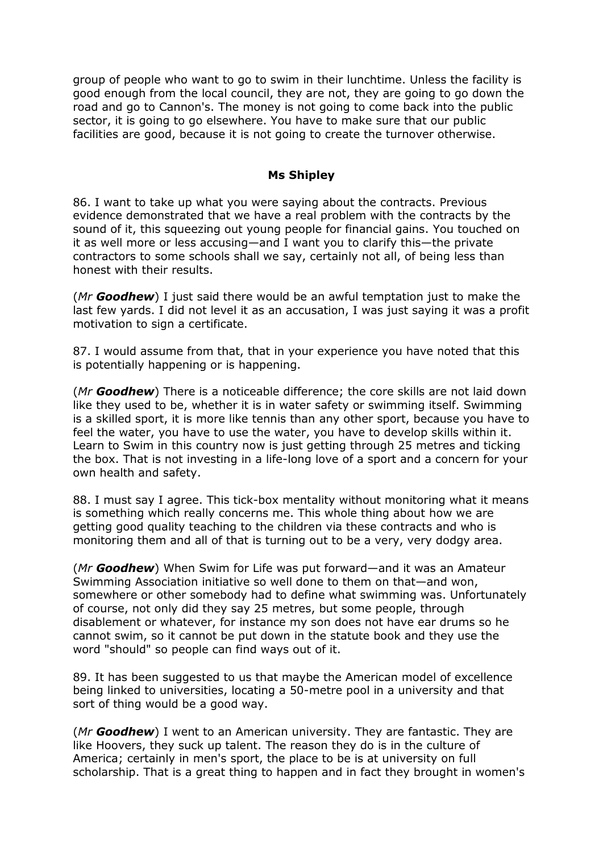group of people who want to go to swim in their lunchtime. Unless the facility is good enough from the local council, they are not, they are going to go down the road and go to Cannon's. The money is not going to come back into the public sector, it is going to go elsewhere. You have to make sure that our public facilities are good, because it is not going to create the turnover otherwise.

#### **Ms Shipley**

86. I want to take up what you were saying about the contracts. Previous evidence demonstrated that we have a real problem with the contracts by the sound of it, this squeezing out young people for financial gains. You touched on it as well more or less accusing—and I want you to clarify this—the private contractors to some schools shall we say, certainly not all, of being less than honest with their results.

(*Mr Goodhew*) I just said there would be an awful temptation just to make the last few yards. I did not level it as an accusation, I was just saying it was a profit motivation to sign a certificate.

87. I would assume from that, that in your experience you have noted that this is potentially happening or is happening.

(*Mr Goodhew*) There is a noticeable difference; the core skills are not laid down like they used to be, whether it is in water safety or swimming itself. Swimming is a skilled sport, it is more like tennis than any other sport, because you have to feel the water, you have to use the water, you have to develop skills within it. Learn to Swim in this country now is just getting through 25 metres and ticking the box. That is not investing in a life-long love of a sport and a concern for your own health and safety.

88. I must say I agree. This tick-box mentality without monitoring what it means is something which really concerns me. This whole thing about how we are getting good quality teaching to the children via these contracts and who is monitoring them and all of that is turning out to be a very, very dodgy area.

(*Mr Goodhew*) When Swim for Life was put forward—and it was an Amateur Swimming Association initiative so well done to them on that—and won, somewhere or other somebody had to define what swimming was. Unfortunately of course, not only did they say 25 metres, but some people, through disablement or whatever, for instance my son does not have ear drums so he cannot swim, so it cannot be put down in the statute book and they use the word "should" so people can find ways out of it.

89. It has been suggested to us that maybe the American model of excellence being linked to universities, locating a 50-metre pool in a university and that sort of thing would be a good way.

(*Mr Goodhew*) I went to an American university. They are fantastic. They are like Hoovers, they suck up talent. The reason they do is in the culture of America; certainly in men's sport, the place to be is at university on full scholarship. That is a great thing to happen and in fact they brought in women's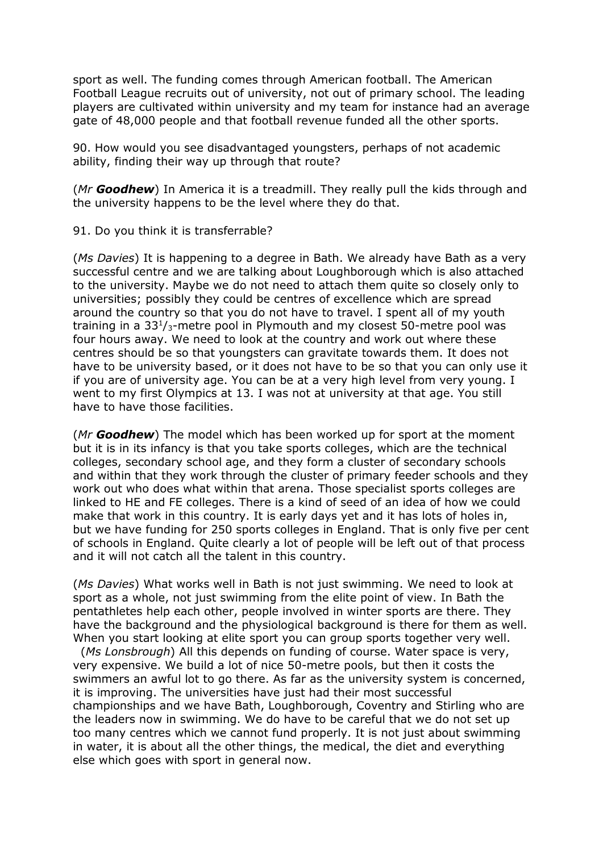sport as well. The funding comes through American football. The American Football League recruits out of university, not out of primary school. The leading players are cultivated within university and my team for instance had an average gate of 48,000 people and that football revenue funded all the other sports.

90. How would you see disadvantaged youngsters, perhaps of not academic ability, finding their way up through that route?

(*Mr Goodhew*) In America it is a treadmill. They really pull the kids through and the university happens to be the level where they do that.

91. Do you think it is transferrable?

(*Ms Davies*) It is happening to a degree in Bath. We already have Bath as a very successful centre and we are talking about Loughborough which is also attached to the university. Maybe we do not need to attach them quite so closely only to universities; possibly they could be centres of excellence which are spread around the country so that you do not have to travel. I spent all of my youth training in a  $33<sup>1</sup>/3$ -metre pool in Plymouth and my closest 50-metre pool was four hours away. We need to look at the country and work out where these centres should be so that youngsters can gravitate towards them. It does not have to be university based, or it does not have to be so that you can only use it if you are of university age. You can be at a very high level from very young. I went to my first Olympics at 13. I was not at university at that age. You still have to have those facilities.

(*Mr Goodhew*) The model which has been worked up for sport at the moment but it is in its infancy is that you take sports colleges, which are the technical colleges, secondary school age, and they form a cluster of secondary schools and within that they work through the cluster of primary feeder schools and they work out who does what within that arena. Those specialist sports colleges are linked to HE and FE colleges. There is a kind of seed of an idea of how we could make that work in this country. It is early days yet and it has lots of holes in, but we have funding for 250 sports colleges in England. That is only five per cent of schools in England. Quite clearly a lot of people will be left out of that process and it will not catch all the talent in this country.

(*Ms Davies*) What works well in Bath is not just swimming. We need to look at sport as a whole, not just swimming from the elite point of view. In Bath the pentathletes help each other, people involved in winter sports are there. They have the background and the physiological background is there for them as well. When you start looking at elite sport you can group sports together very well.

 (*Ms Lonsbrough*) All this depends on funding of course. Water space is very, very expensive. We build a lot of nice 50-metre pools, but then it costs the swimmers an awful lot to go there. As far as the university system is concerned, it is improving. The universities have just had their most successful championships and we have Bath, Loughborough, Coventry and Stirling who are the leaders now in swimming. We do have to be careful that we do not set up too many centres which we cannot fund properly. It is not just about swimming in water, it is about all the other things, the medical, the diet and everything else which goes with sport in general now.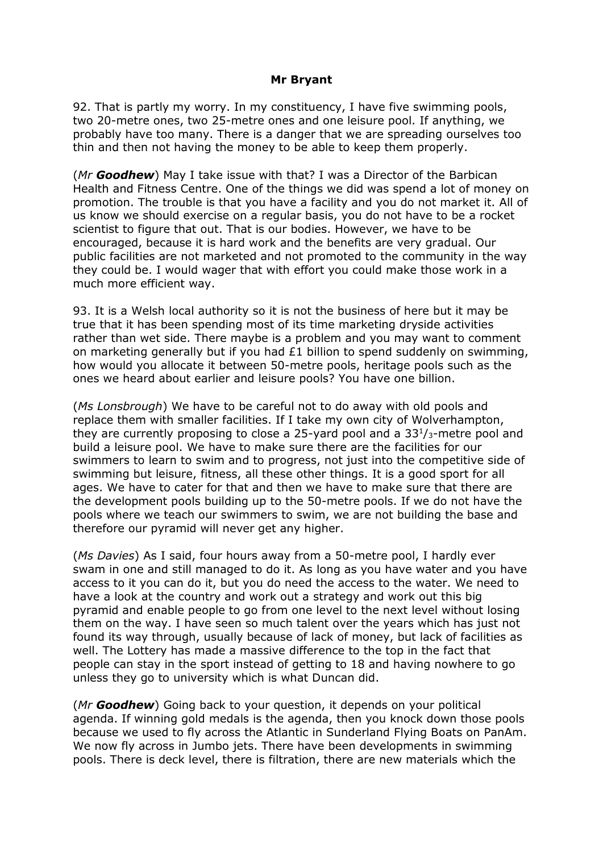#### **Mr Bryant**

92. That is partly my worry. In my constituency, I have five swimming pools, two 20-metre ones, two 25-metre ones and one leisure pool. If anything, we probably have too many. There is a danger that we are spreading ourselves too thin and then not having the money to be able to keep them properly.

(*Mr Goodhew*) May I take issue with that? I was a Director of the Barbican Health and Fitness Centre. One of the things we did was spend a lot of money on promotion. The trouble is that you have a facility and you do not market it. All of us know we should exercise on a regular basis, you do not have to be a rocket scientist to figure that out. That is our bodies. However, we have to be encouraged, because it is hard work and the benefits are very gradual. Our public facilities are not marketed and not promoted to the community in the way they could be. I would wager that with effort you could make those work in a much more efficient way.

93. It is a Welsh local authority so it is not the business of here but it may be true that it has been spending most of its time marketing dryside activities rather than wet side. There maybe is a problem and you may want to comment on marketing generally but if you had £1 billion to spend suddenly on swimming, how would you allocate it between 50-metre pools, heritage pools such as the ones we heard about earlier and leisure pools? You have one billion.

(*Ms Lonsbrough*) We have to be careful not to do away with old pools and replace them with smaller facilities. If I take my own city of Wolverhampton, they are currently proposing to close a 25-yard pool and a  $33<sup>1</sup>/3$ -metre pool and build a leisure pool. We have to make sure there are the facilities for our swimmers to learn to swim and to progress, not just into the competitive side of swimming but leisure, fitness, all these other things. It is a good sport for all ages. We have to cater for that and then we have to make sure that there are the development pools building up to the 50-metre pools. If we do not have the pools where we teach our swimmers to swim, we are not building the base and therefore our pyramid will never get any higher.

(*Ms Davies*) As I said, four hours away from a 50-metre pool, I hardly ever swam in one and still managed to do it. As long as you have water and you have access to it you can do it, but you do need the access to the water. We need to have a look at the country and work out a strategy and work out this big pyramid and enable people to go from one level to the next level without losing them on the way. I have seen so much talent over the years which has just not found its way through, usually because of lack of money, but lack of facilities as well. The Lottery has made a massive difference to the top in the fact that people can stay in the sport instead of getting to 18 and having nowhere to go unless they go to university which is what Duncan did.

(*Mr Goodhew*) Going back to your question, it depends on your political agenda. If winning gold medals is the agenda, then you knock down those pools because we used to fly across the Atlantic in Sunderland Flying Boats on PanAm. We now fly across in Jumbo jets. There have been developments in swimming pools. There is deck level, there is filtration, there are new materials which the